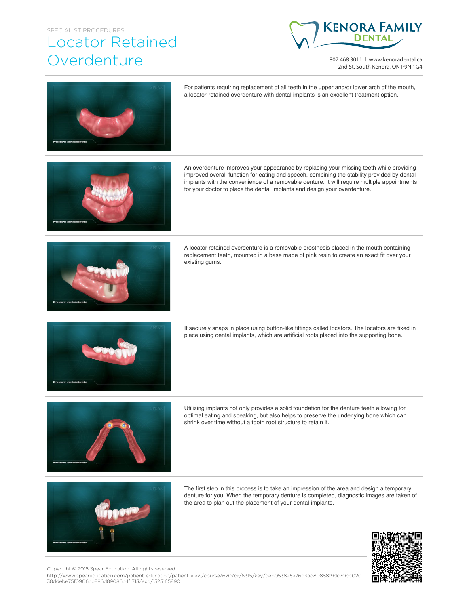## SPECIALIST PROCEDURES

## Locator Retained **Overdenture**



807 468 3011 | www.kenoradental.ca 2nd St. South Kenora, ON P9N 1G4





The first step in this process is to take an impression of the area and design a temporary denture for you. When the temporary denture is completed, diagnostic images are taken of the area to plan out the placement of your dental implants.



Copyright © 2018 Spear Education. All rights reserved.

http://www.speareducation.com/patient-education/patient-view/course/620/dr/6315/key/deb053825a76b3ad80888f9dc70cd020 38ddebe75f0906cb886d89086c4f1713/exp/1525165890